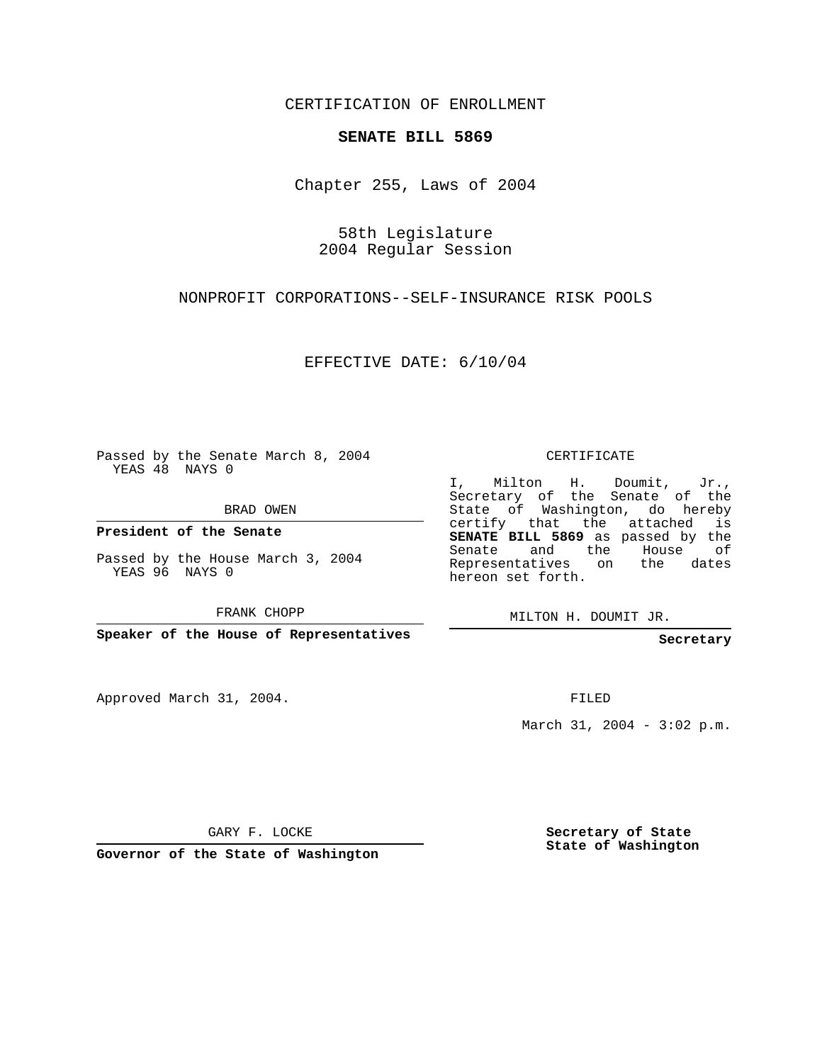CERTIFICATION OF ENROLLMENT

## **SENATE BILL 5869**

Chapter 255, Laws of 2004

58th Legislature 2004 Regular Session

NONPROFIT CORPORATIONS--SELF-INSURANCE RISK POOLS

EFFECTIVE DATE: 6/10/04

Passed by the Senate March 8, 2004 YEAS 48 NAYS 0

BRAD OWEN

**President of the Senate**

Passed by the House March 3, 2004 YEAS 96 NAYS 0

FRANK CHOPP

**Speaker of the House of Representatives**

Approved March 31, 2004.

CERTIFICATE

I, Milton H. Doumit, Jr., Secretary of the Senate of the State of Washington, do hereby certify that the attached is **SENATE BILL 5869** as passed by the Senate and the House of Representatives on the dates hereon set forth.

MILTON H. DOUMIT JR.

**Secretary**

FILED

March 31, 2004 - 3:02 p.m.

GARY F. LOCKE

**Governor of the State of Washington**

**Secretary of State State of Washington**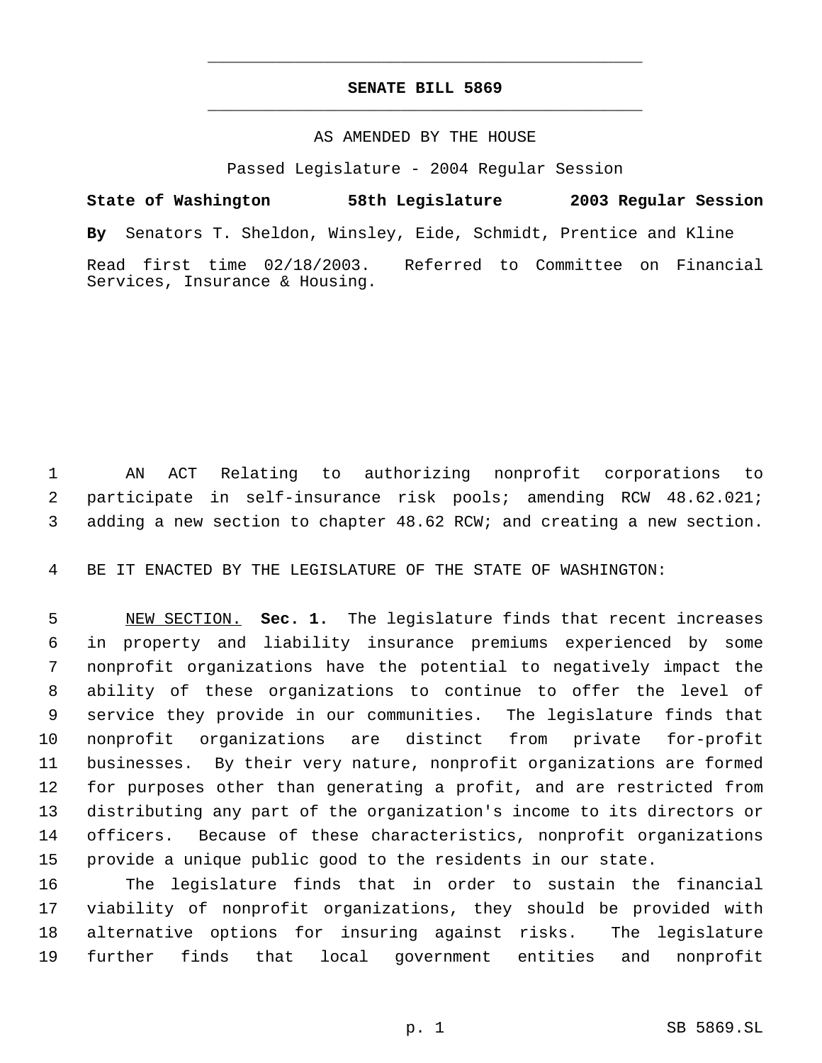## **SENATE BILL 5869** \_\_\_\_\_\_\_\_\_\_\_\_\_\_\_\_\_\_\_\_\_\_\_\_\_\_\_\_\_\_\_\_\_\_\_\_\_\_\_\_\_\_\_\_\_

\_\_\_\_\_\_\_\_\_\_\_\_\_\_\_\_\_\_\_\_\_\_\_\_\_\_\_\_\_\_\_\_\_\_\_\_\_\_\_\_\_\_\_\_\_

## AS AMENDED BY THE HOUSE

Passed Legislature - 2004 Regular Session

**State of Washington 58th Legislature 2003 Regular Session By** Senators T. Sheldon, Winsley, Eide, Schmidt, Prentice and Kline Read first time 02/18/2003. Referred to Committee on Financial Services, Insurance & Housing.

 AN ACT Relating to authorizing nonprofit corporations to participate in self-insurance risk pools; amending RCW 48.62.021; adding a new section to chapter 48.62 RCW; and creating a new section.

BE IT ENACTED BY THE LEGISLATURE OF THE STATE OF WASHINGTON:

 NEW SECTION. **Sec. 1.** The legislature finds that recent increases in property and liability insurance premiums experienced by some nonprofit organizations have the potential to negatively impact the ability of these organizations to continue to offer the level of service they provide in our communities. The legislature finds that nonprofit organizations are distinct from private for-profit businesses. By their very nature, nonprofit organizations are formed for purposes other than generating a profit, and are restricted from distributing any part of the organization's income to its directors or officers. Because of these characteristics, nonprofit organizations provide a unique public good to the residents in our state.

 The legislature finds that in order to sustain the financial viability of nonprofit organizations, they should be provided with alternative options for insuring against risks. The legislature further finds that local government entities and nonprofit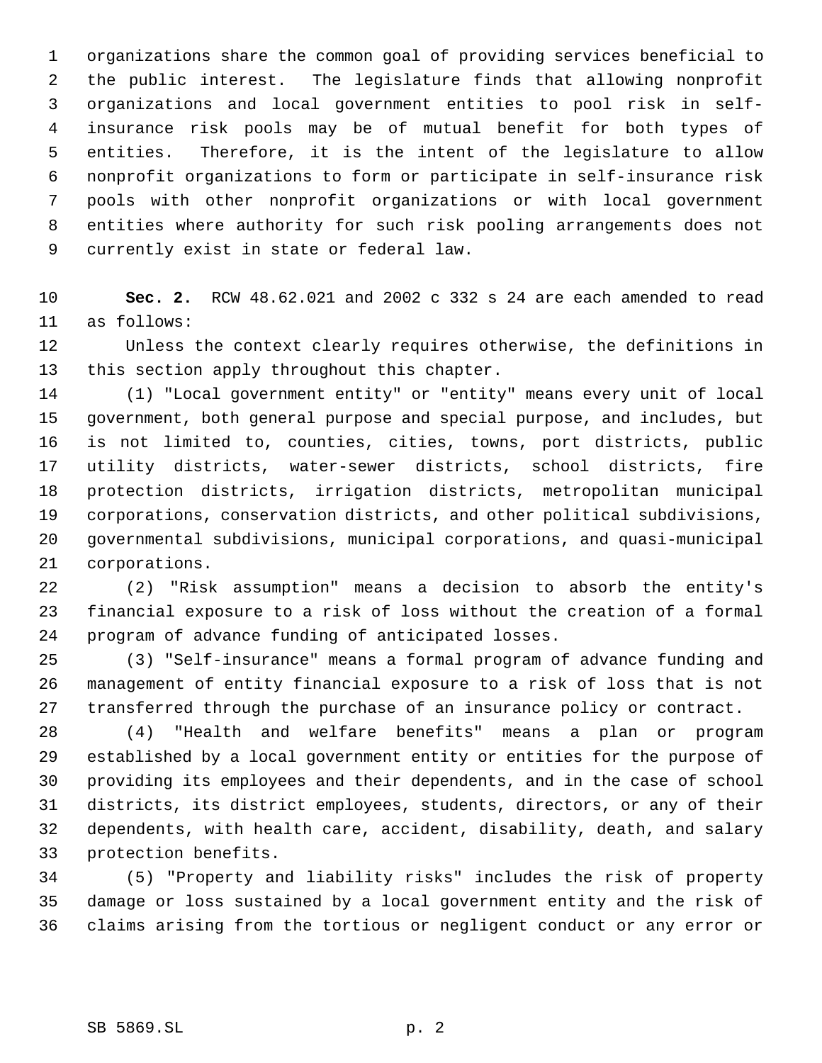organizations share the common goal of providing services beneficial to the public interest. The legislature finds that allowing nonprofit organizations and local government entities to pool risk in self- insurance risk pools may be of mutual benefit for both types of entities. Therefore, it is the intent of the legislature to allow nonprofit organizations to form or participate in self-insurance risk pools with other nonprofit organizations or with local government entities where authority for such risk pooling arrangements does not currently exist in state or federal law.

 **Sec. 2.** RCW 48.62.021 and 2002 c 332 s 24 are each amended to read as follows:

 Unless the context clearly requires otherwise, the definitions in this section apply throughout this chapter.

 (1) "Local government entity" or "entity" means every unit of local government, both general purpose and special purpose, and includes, but is not limited to, counties, cities, towns, port districts, public utility districts, water-sewer districts, school districts, fire protection districts, irrigation districts, metropolitan municipal corporations, conservation districts, and other political subdivisions, governmental subdivisions, municipal corporations, and quasi-municipal corporations.

 (2) "Risk assumption" means a decision to absorb the entity's financial exposure to a risk of loss without the creation of a formal program of advance funding of anticipated losses.

 (3) "Self-insurance" means a formal program of advance funding and management of entity financial exposure to a risk of loss that is not transferred through the purchase of an insurance policy or contract.

 (4) "Health and welfare benefits" means a plan or program established by a local government entity or entities for the purpose of providing its employees and their dependents, and in the case of school districts, its district employees, students, directors, or any of their dependents, with health care, accident, disability, death, and salary protection benefits.

 (5) "Property and liability risks" includes the risk of property damage or loss sustained by a local government entity and the risk of claims arising from the tortious or negligent conduct or any error or